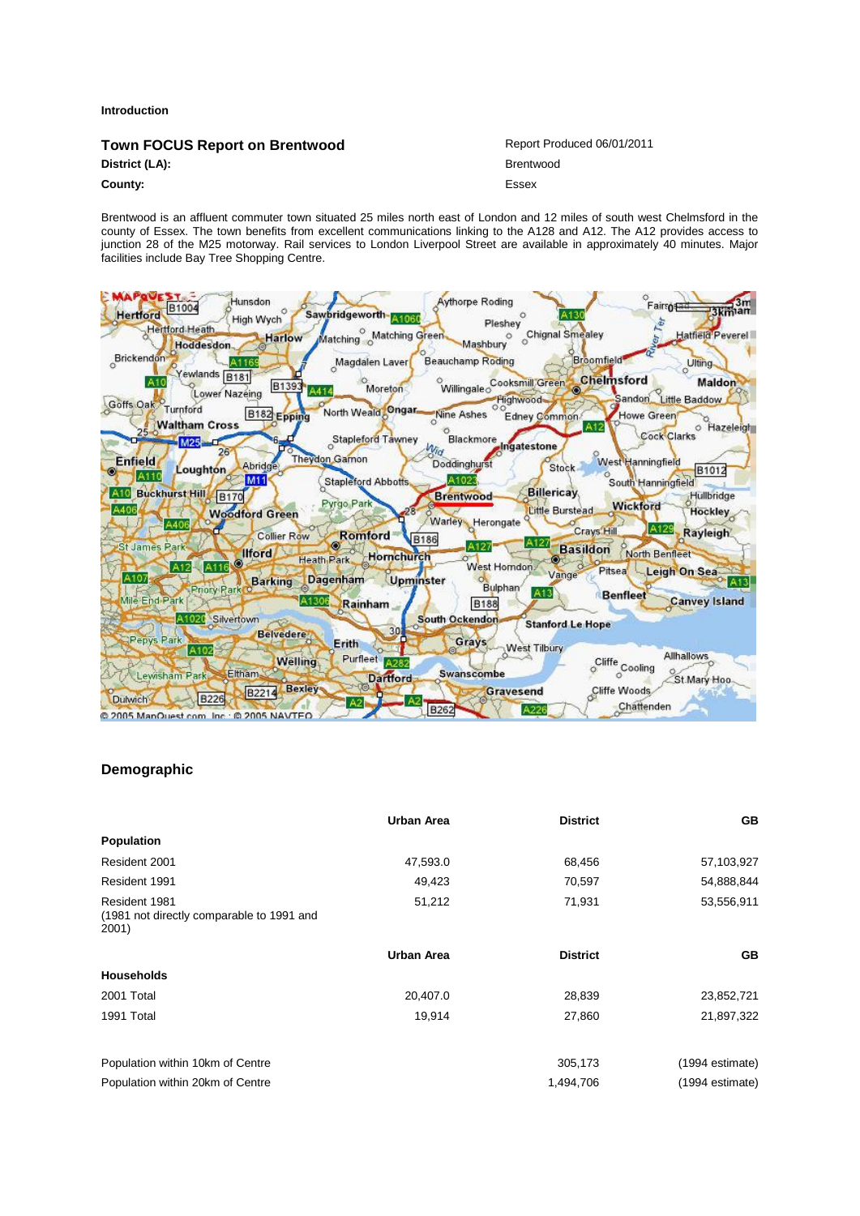#### **Introduction**

| Town FOCUS Report on Brentwood | Report Produced 06/01/2011 |
|--------------------------------|----------------------------|
| District (LA):                 | Brentwood                  |
| County:                        | Essex                      |

Brentwood is an affluent commuter town situated 25 miles north east of London and 12 miles of south west Chelmsford in the county of Essex. The town benefits from excellent communications linking to the A128 and A12. The A12 provides access to junction 28 of the M25 motorway. Rail services to London Liverpool Street are available in approximately 40 minutes. Major facilities include Bay Tree Shopping Centre.



### **Demographic**

|                                                                     | <b>Urban Area</b> | <b>District</b> | <b>GB</b>       |
|---------------------------------------------------------------------|-------------------|-----------------|-----------------|
| <b>Population</b>                                                   |                   |                 |                 |
| Resident 2001                                                       | 47,593.0          | 68,456          | 57,103,927      |
| Resident 1991                                                       | 49,423            | 70,597          | 54,888,844      |
| Resident 1981<br>(1981 not directly comparable to 1991 and<br>2001) | 51,212            | 71,931          | 53,556,911      |
|                                                                     | <b>Urban Area</b> | <b>District</b> | <b>GB</b>       |
| <b>Households</b>                                                   |                   |                 |                 |
| 2001 Total                                                          | 20,407.0          | 28,839          | 23,852,721      |
| 1991 Total                                                          | 19,914            | 27,860          | 21,897,322      |
| Population within 10km of Centre                                    |                   | 305,173         | (1994 estimate) |
| Population within 20km of Centre                                    |                   | 1,494,706       | (1994 estimate) |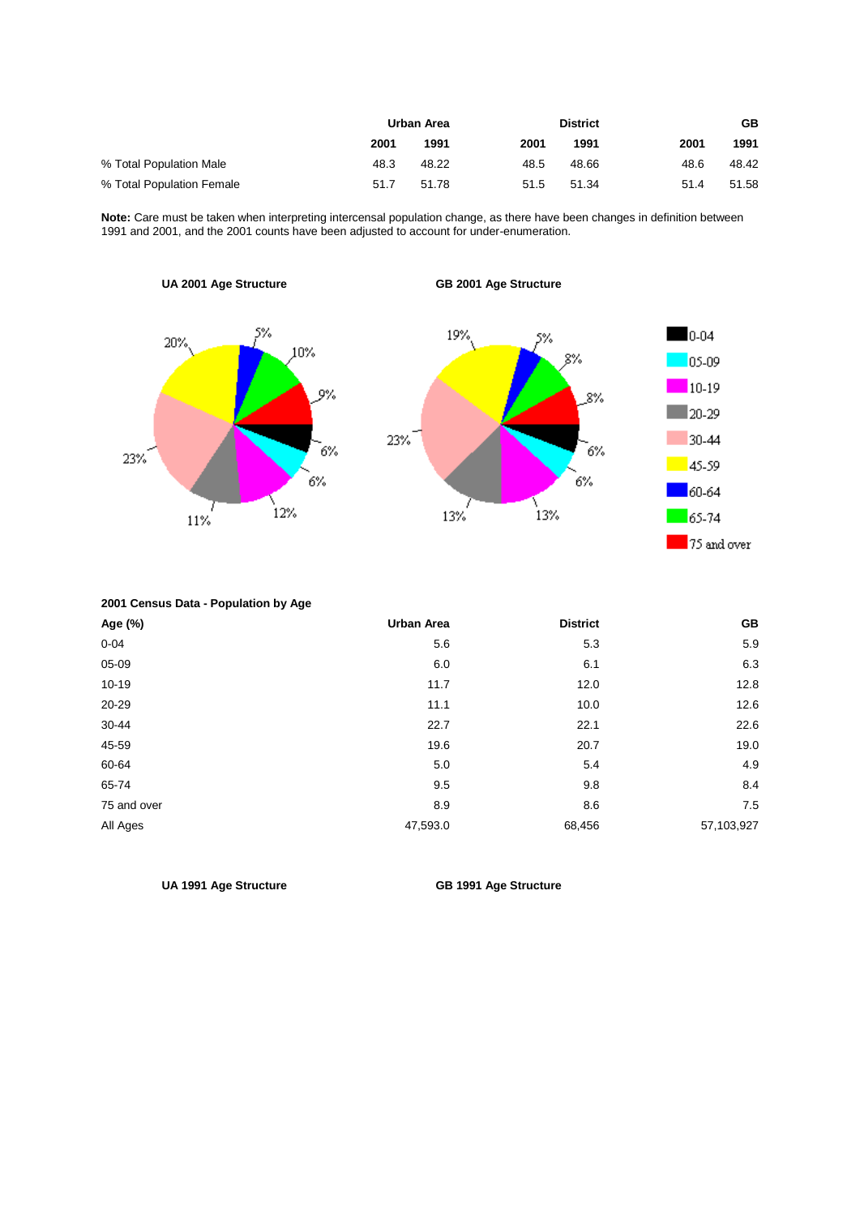|                           | Urban Area |       |      | <b>District</b> |      | GB    |
|---------------------------|------------|-------|------|-----------------|------|-------|
|                           | 2001       | 1991  | 2001 | 1991            | 2001 | 1991  |
| % Total Population Male   | 48.3       | 48.22 | 48.5 | 48.66           | 48.6 | 48.42 |
| % Total Population Female | 51.7       | 51.78 | 51.5 | 51.34           | 51.4 | 51.58 |

**Note:** Care must be taken when interpreting intercensal population change, as there have been changes in definition between 1991 and 2001, and the 2001 counts have been adjusted to account for under-enumeration.

**UA 2001 Age Structure GB 2001 Age Structure**   $0 - 04$ 19% 20% 10% 05-09  $10-19$ 8%  $\blacksquare$  20-29 23% 30-44 .<br>6% .<br>6% 23% 45-59 6% 6% 60-64  $\left\{ \right._{12\%}$ \<br>13% 13% 65-74 11% 75 and over

**2001 Census Data - Population by Age** 

| Age (%)     | <b>Urban Area</b> | <b>District</b> | GB         |
|-------------|-------------------|-----------------|------------|
| $0 - 04$    | 5.6               | 5.3             | 5.9        |
| 05-09       | 6.0               | 6.1             | 6.3        |
| $10 - 19$   | 11.7              | 12.0            | 12.8       |
| 20-29       | 11.1              | 10.0            | 12.6       |
| 30-44       | 22.7              | 22.1            | 22.6       |
| 45-59       | 19.6              | 20.7            | 19.0       |
| 60-64       | 5.0               | 5.4             | 4.9        |
| 65-74       | 9.5               | 9.8             | 8.4        |
| 75 and over | 8.9               | 8.6             | 7.5        |
| All Ages    | 47,593.0          | 68,456          | 57,103,927 |

**UA 1991 Age Structure GB 1991 Age Structure**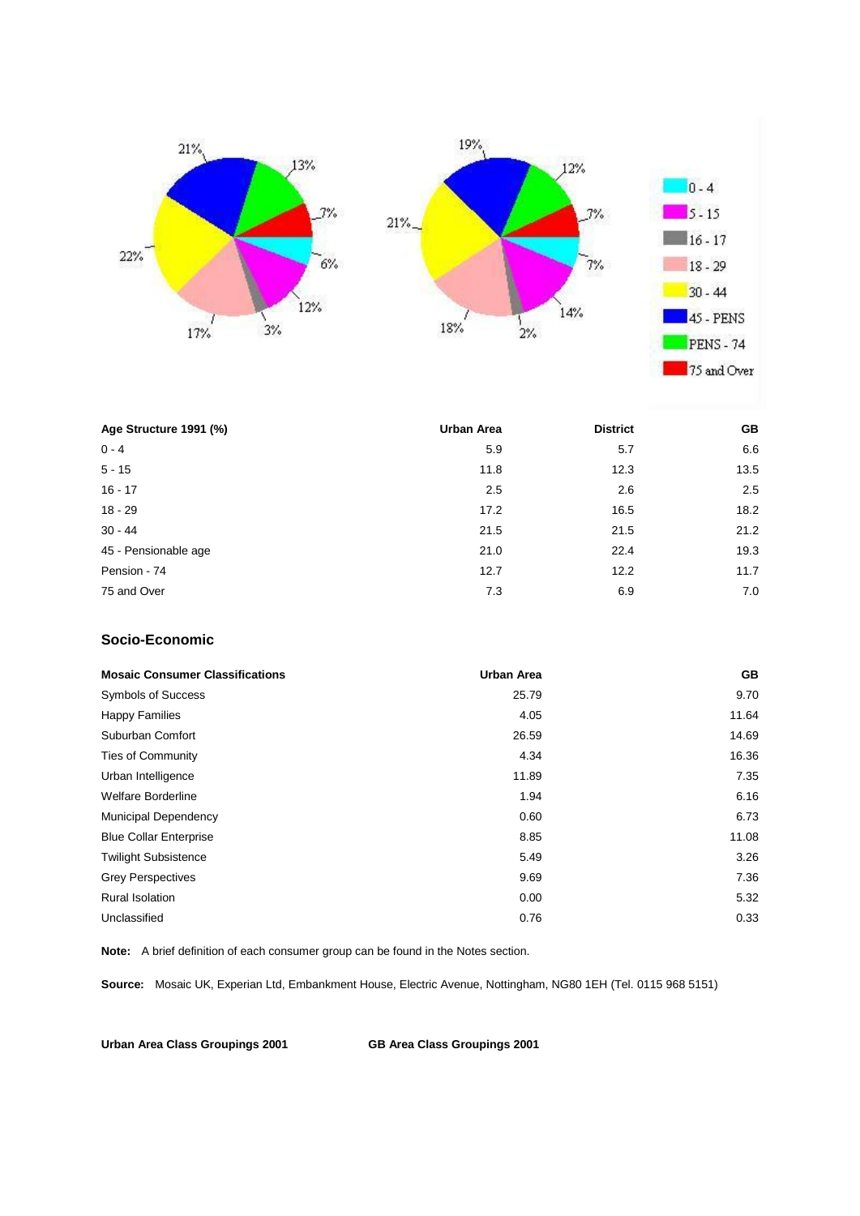



| Age Structure 1991 (%) | <b>Urban Area</b> | <b>District</b> | <b>GB</b> |
|------------------------|-------------------|-----------------|-----------|
| $0 - 4$                | 5.9               | 5.7             | 6.6       |
| $5 - 15$               | 11.8              | 12.3            | 13.5      |
| $16 - 17$              | 2.5               | 2.6             | 2.5       |
| $18 - 29$              | 17.2              | 16.5            | 18.2      |
| $30 - 44$              | 21.5              | 21.5            | 21.2      |
| 45 - Pensionable age   | 21.0              | 22.4            | 19.3      |
| Pension - 74           | 12.7              | 12.2            | 11.7      |
| 75 and Over            | 7.3               | 6.9             | 7.0       |

## **Socio-Economic**

| <b>Mosaic Consumer Classifications</b> | <b>Urban Area</b> | <b>GB</b> |
|----------------------------------------|-------------------|-----------|
| <b>Symbols of Success</b>              | 25.79             | 9.70      |
| <b>Happy Families</b>                  | 4.05              | 11.64     |
| Suburban Comfort                       | 26.59             | 14.69     |
| <b>Ties of Community</b>               | 4.34              | 16.36     |
| Urban Intelligence                     | 11.89             | 7.35      |
| <b>Welfare Borderline</b>              | 1.94              | 6.16      |
| <b>Municipal Dependency</b>            | 0.60              | 6.73      |
| <b>Blue Collar Enterprise</b>          | 8.85              | 11.08     |
| <b>Twilight Subsistence</b>            | 5.49              | 3.26      |
| <b>Grey Perspectives</b>               | 9.69              | 7.36      |
| <b>Rural Isolation</b>                 | 0.00              | 5.32      |
| Unclassified                           | 0.76              | 0.33      |

**Note:** A brief definition of each consumer group can be found in the Notes section.

**Source:** Mosaic UK, Experian Ltd, Embankment House, Electric Avenue, Nottingham, NG80 1EH (Tel. 0115 968 5151)

**Urban Area Class Groupings 2001 GB Area Class Groupings 2001**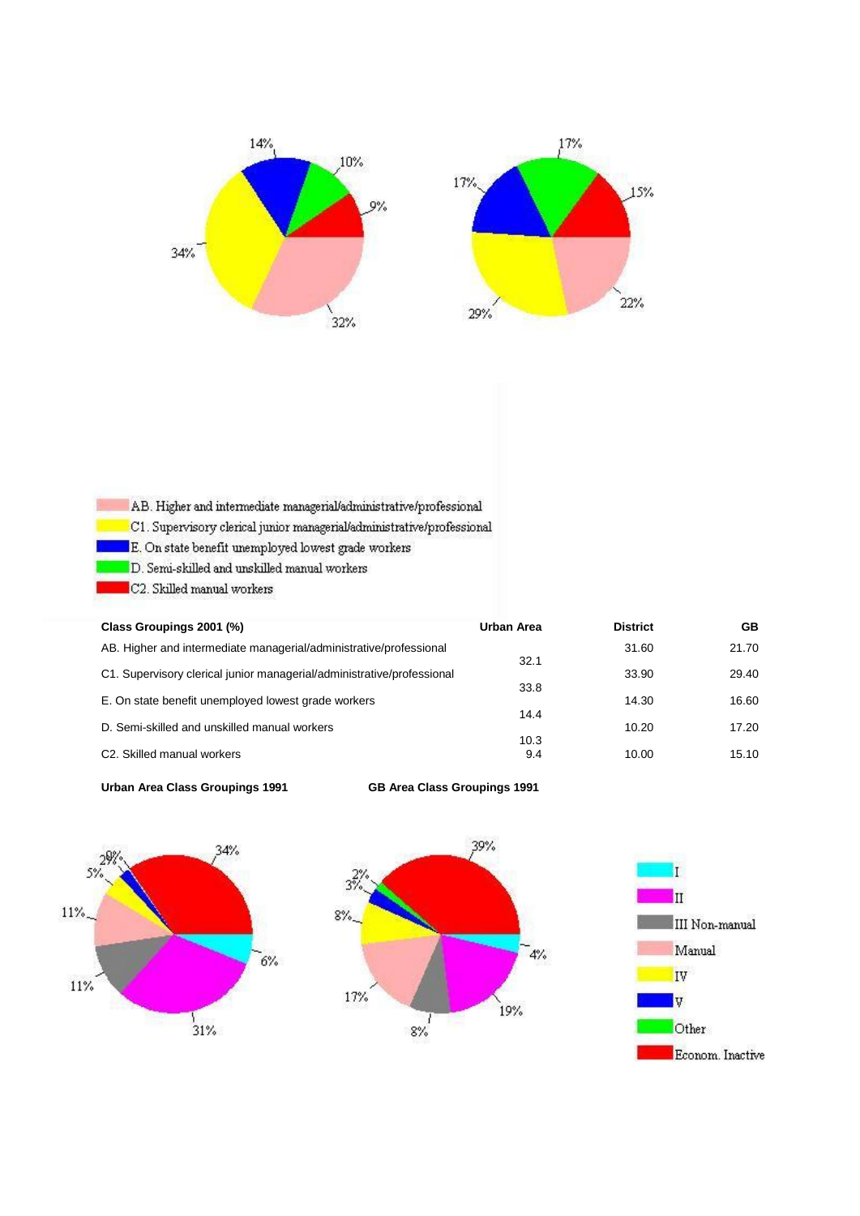

| AB. Higher and intermediate managerial/administrative/professional |  |  |
|--------------------------------------------------------------------|--|--|
|                                                                    |  |  |

- C1. Supervisory clerical junior managerial/administrative/professional
- $\blacksquare$  <br> E. On state benefit unemployed lowest grade workers
	- D. Semi-skilled and unskilled manual workers
	- C2. Skilled manual workers

| Class Groupings 2001 (%)                                               | Urban Area | <b>District</b> | GB    |
|------------------------------------------------------------------------|------------|-----------------|-------|
| AB. Higher and intermediate managerial/administrative/professional     |            | 31.60           | 21.70 |
| C1. Supervisory clerical junior managerial/administrative/professional | 32.1       | 33.90           | 29.40 |
| E. On state benefit unemployed lowest grade workers                    | 33.8       | 14.30           | 16.60 |
|                                                                        | 14.4       |                 |       |
| D. Semi-skilled and unskilled manual workers                           | 10.3       | 10.20           | 17.20 |
| C <sub>2</sub> . Skilled manual workers                                | 9.4        | 10.00           | 15.10 |







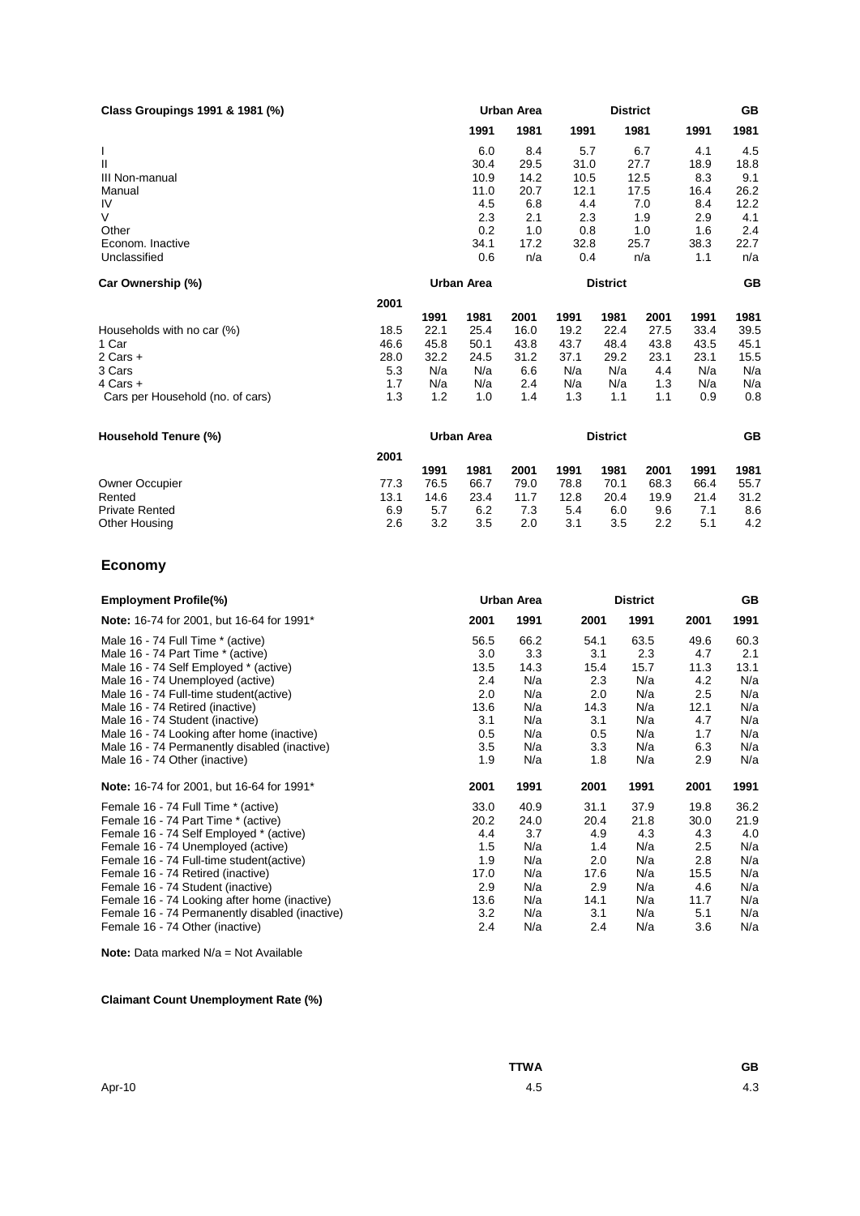| Class Groupings 1991 & 1981 (%) |                   | <b>Urban Area</b> |                 |      |      |      |  | <b>GB</b> |
|---------------------------------|-------------------|-------------------|-----------------|------|------|------|--|-----------|
|                                 | 1991              | 1981              | 1991            | 1981 | 1991 | 1981 |  |           |
|                                 | 6.0               | 8.4               | 5.7             | 6.7  | 4.1  | 4.5  |  |           |
| Ш                               | 30.4              | 29.5              | 31.0            | 27.7 | 18.9 | 18.8 |  |           |
| III Non-manual                  | 10.9              | 14.2              | 10.5            | 12.5 | 8.3  | 9.1  |  |           |
| Manual                          | 11.0              | 20.7              | 12.1            | 17.5 | 16.4 | 26.2 |  |           |
| IV                              | 4.5               | 6.8               | 4.4             | 7.0  | 8.4  | 12.2 |  |           |
| V                               | 2.3               | 2.1               | 2.3             | 1.9  | 2.9  | 4.1  |  |           |
| Other                           | 0.2               | 1.0               | 0.8             | 1.0  | 1.6  | 2.4  |  |           |
| Econom. Inactive                | 34.1              | 17.2              | 32.8            | 25.7 | 38.3 | 22.7 |  |           |
| Unclassified                    | 0.6               | n/a               | 0.4             | n/a  | 1.1  | n/a  |  |           |
| Car Ownership (%)               | <b>Urban Area</b> |                   | <b>District</b> |      |      | GB   |  |           |
|                                 | 2001              |                   |                 |      |      |      |  |           |

|                                  | ---  |      |      |      |      |      |      |      |      |
|----------------------------------|------|------|------|------|------|------|------|------|------|
|                                  |      | 1991 | 1981 | 2001 | 1991 | 1981 | 2001 | 1991 | 1981 |
| Households with no car (%)       | 18.5 | 22.1 | 25.4 | 16.0 | 19.2 | 22.4 | 27.5 | 33.4 | 39.5 |
| 1 Car                            | 46.6 | 45.8 | 50.1 | 43.8 | 43.7 | 48.4 | 43.8 | 43.5 | 45.1 |
| $2$ Cars $+$                     | 28.0 | 32.2 | 24.5 | 31.2 | 37.1 | 29.2 | 23.1 | 23.1 | 15.5 |
| 3 Cars                           | 5.3  | N/a  | N/a  | 6.6  | N/a  | N/a  | 4.4  | N/a  | N/a  |
| $4$ Cars $+$                     | 1.7  | N/a  | N/a  | 2.4  | N/a  | N/a  | 1.3  | N/a  | N/a  |
| Cars per Household (no. of cars) | 1.3  | 1.2  | 1.0  | 1.4  | 1.3  | 1.1  | 1.1  | 0.9  | 0.8  |
|                                  |      |      |      |      |      |      |      |      |      |

| Household Tenure (%)  |      | Urban Area |      |      |      | <b>District</b> |      |      | GВ   |
|-----------------------|------|------------|------|------|------|-----------------|------|------|------|
|                       | 2001 |            |      |      |      |                 |      |      |      |
|                       |      | 1991       | 1981 | 2001 | 1991 | 1981            | 2001 | 1991 | 1981 |
| <b>Owner Occupier</b> | 77.3 | 76.5       | 66.7 | 79.0 | 78.8 | 70.1            | 68.3 | 66.4 | 55.7 |
| Rented                | 13.1 | 14.6       | 23.4 | 11.7 | 12.8 | 20.4            | 19.9 | 21.4 | 31.2 |
| <b>Private Rented</b> | 6.9  | 5.7        | 6.2  | 7.3  | 5.4  | 6.0             | 9.6  |      | 8.6  |
| Other Housing         | 2.6  | 3.2        | 3.5  | 2.0  | 3.1  | 3.5             | 2.2  | 5.1  | 4.2  |

## **Economy**

| <b>Employment Profile(%)</b>                   | Urban Area |      | <b>District</b> |      |      | <b>GB</b> |
|------------------------------------------------|------------|------|-----------------|------|------|-----------|
| Note: 16-74 for 2001, but 16-64 for 1991*      | 2001       | 1991 | 2001            | 1991 | 2001 | 1991      |
| Male 16 - 74 Full Time * (active)              | 56.5       | 66.2 | 54.1            | 63.5 | 49.6 | 60.3      |
| Male 16 - 74 Part Time * (active)              | 3.0        | 3.3  | 3.1             | 2.3  | 4.7  | 2.1       |
| Male 16 - 74 Self Employed * (active)          | 13.5       | 14.3 | 15.4            | 15.7 | 11.3 | 13.1      |
| Male 16 - 74 Unemployed (active)               | 2.4        | N/a  | 2.3             | N/a  | 4.2  | N/a       |
| Male 16 - 74 Full-time student (active)        | 2.0        | N/a  | 2.0             | N/a  | 2.5  | N/a       |
| Male 16 - 74 Retired (inactive)                | 13.6       | N/a  | 14.3            | N/a  | 12.1 | N/a       |
| Male 16 - 74 Student (inactive)                | 3.1        | N/a  | 3.1             | N/a  | 4.7  | N/a       |
| Male 16 - 74 Looking after home (inactive)     | 0.5        | N/a  | 0.5             | N/a  | 1.7  | N/a       |
| Male 16 - 74 Permanently disabled (inactive)   | 3.5        | N/a  | 3.3             | N/a  | 6.3  | N/a       |
| Male 16 - 74 Other (inactive)                  | 1.9        | N/a  | 1.8             | N/a  | 2.9  | N/a       |
| Note: 16-74 for 2001, but 16-64 for 1991*      | 2001       | 1991 | 2001            | 1991 | 2001 | 1991      |
| Female 16 - 74 Full Time * (active)            | 33.0       | 40.9 | 31.1            | 37.9 | 19.8 | 36.2      |
| Female 16 - 74 Part Time * (active)            | 20.2       | 24.0 | 20.4            | 21.8 | 30.0 | 21.9      |
| Female 16 - 74 Self Employed * (active)        | 4.4        | 3.7  | 4.9             | 4.3  | 4.3  | 4.0       |
| Female 16 - 74 Unemployed (active)             | 1.5        | N/a  | 1.4             | N/a  | 2.5  | N/a       |
| Female 16 - 74 Full-time student(active)       | 1.9        | N/a  | 2.0             | N/a  | 2.8  | N/a       |
| Female 16 - 74 Retired (inactive)              | 17.0       | N/a  | 17.6            | N/a  | 15.5 | N/a       |
| Female 16 - 74 Student (inactive)              | 2.9        | N/a  | 2.9             | N/a  | 4.6  | N/a       |
| Female 16 - 74 Looking after home (inactive)   | 13.6       | N/a  | 14.1            | N/a  | 11.7 | N/a       |
| Female 16 - 74 Permanently disabled (inactive) | 3.2        | N/a  | 3.1             | N/a  | 5.1  | N/a       |
| Female 16 - 74 Other (inactive)                | 2.4        | N/a  | 2.4             | N/a  | 3.6  | N/a       |

**Note:** Data marked N/a = Not Available

## **Claimant Count Unemployment Rate (%)**

|        | <b>TTWA</b> | GВ  |
|--------|-------------|-----|
| Apr-10 | 4.5         | 4.3 |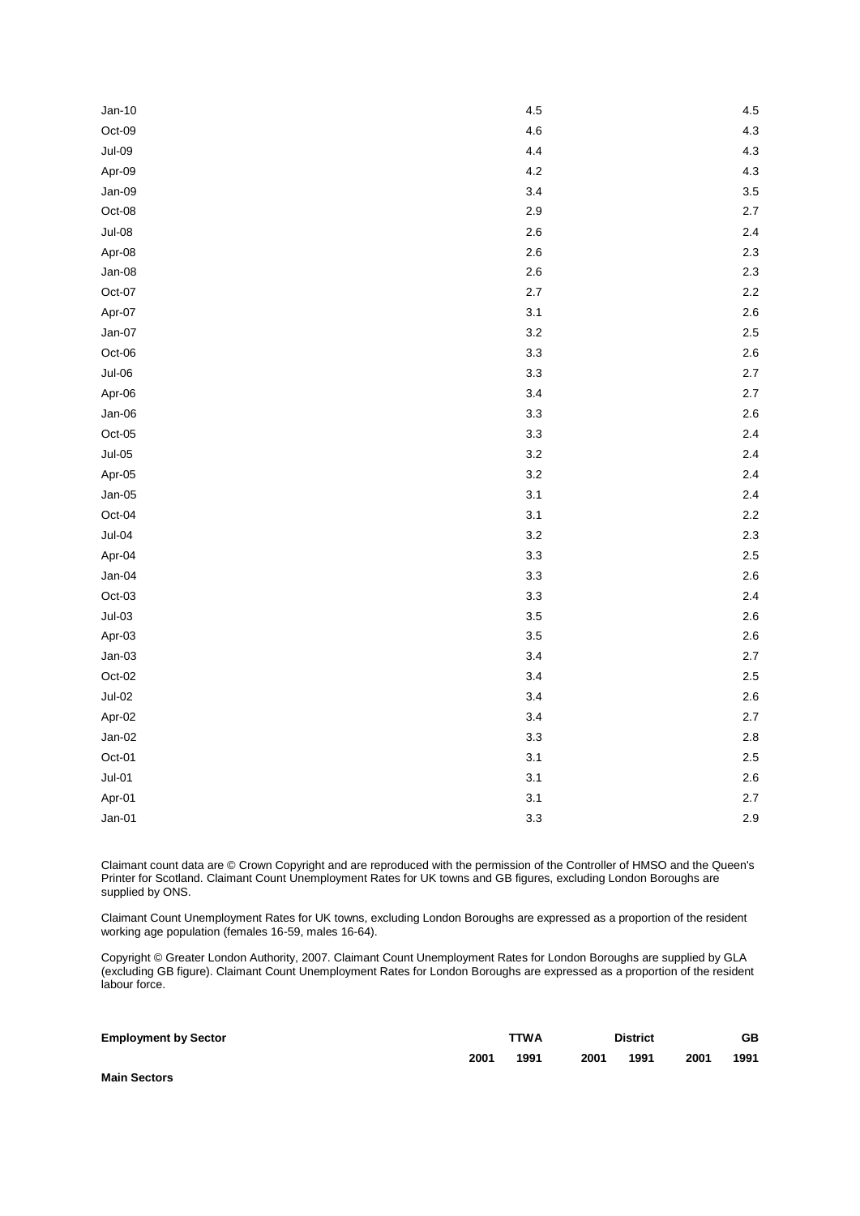| $Jan-10$ | 4.5     | 4.5 |
|----------|---------|-----|
| Oct-09   | 4.6     | 4.3 |
| $Jul-09$ | 4.4     | 4.3 |
| Apr-09   | 4.2     | 4.3 |
| Jan-09   | 3.4     | 3.5 |
| Oct-08   | 2.9     | 2.7 |
| $Jul-08$ | 2.6     | 2.4 |
| Apr-08   | 2.6     | 2.3 |
| Jan-08   | 2.6     | 2.3 |
| Oct-07   | 2.7     | 2.2 |
| Apr-07   | 3.1     | 2.6 |
| $Jan-07$ | 3.2     | 2.5 |
| Oct-06   | 3.3     | 2.6 |
| $Jul-06$ | 3.3     | 2.7 |
| Apr-06   | 3.4     | 2.7 |
| $Jan-06$ | 3.3     | 2.6 |
| $Oct-05$ | 3.3     | 2.4 |
| $Jul-05$ | 3.2     | 2.4 |
| Apr-05   | $3.2\,$ | 2.4 |
| $Jan-05$ | 3.1     | 2.4 |
| Oct-04   | 3.1     | 2.2 |
| $Jul-04$ | 3.2     | 2.3 |
| Apr-04   | 3.3     | 2.5 |
| Jan-04   | 3.3     | 2.6 |
| Oct-03   | 3.3     | 2.4 |
| $Jul-03$ | 3.5     | 2.6 |
| Apr-03   | 3.5     | 2.6 |
| $Jan-03$ | 3.4     | 2.7 |
| $Oct-02$ | 3.4     | 2.5 |
| $Jul-02$ | 3.4     | 2.6 |
| Apr-02   | 3.4     | 2.7 |
| $Jan-02$ | 3.3     | 2.8 |
| Oct-01   | 3.1     | 2.5 |
| $Jul-01$ | 3.1     | 2.6 |
| Apr-01   | 3.1     | 2.7 |
| $Jan-01$ | 3.3     | 2.9 |

Claimant count data are © Crown Copyright and are reproduced with the permission of the Controller of HMSO and the Queen's Printer for Scotland. Claimant Count Unemployment Rates for UK towns and GB figures, excluding London Boroughs are supplied by ONS.

Claimant Count Unemployment Rates for UK towns, excluding London Boroughs are expressed as a proportion of the resident working age population (females 16-59, males 16-64).

Copyright © Greater London Authority, 2007. Claimant Count Unemployment Rates for London Boroughs are supplied by GLA (excluding GB figure). Claimant Count Unemployment Rates for London Boroughs are expressed as a proportion of the resident labour force.

| <b>Employment by Sector</b> | <b>TTWA</b> |      | <b>District</b> |      |      | GВ   |  |
|-----------------------------|-------------|------|-----------------|------|------|------|--|
|                             | 2001        | 1991 | 2001            | 1991 | 2001 | 1991 |  |
| <b>Main Sectors</b>         |             |      |                 |      |      |      |  |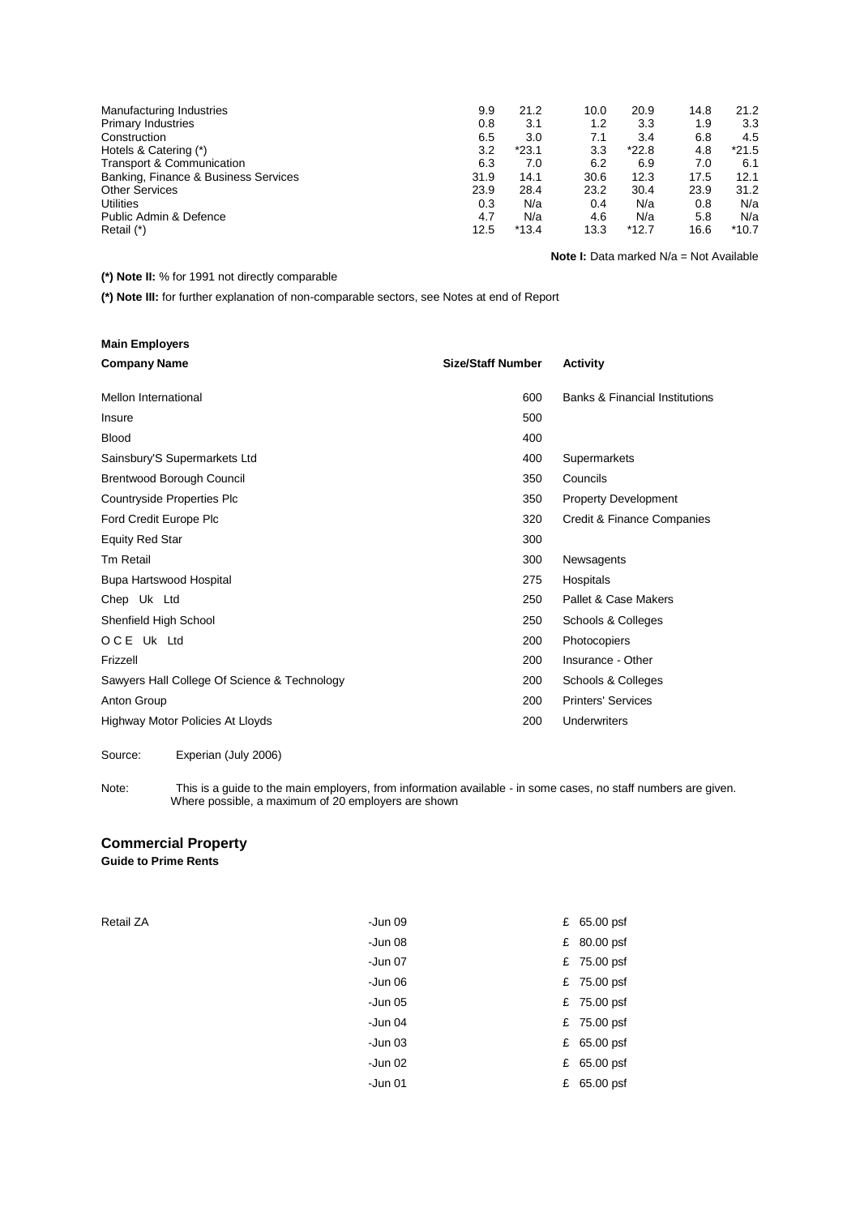| Manufacturing Industries             | 9.9  | 21.2    | 10.0 | 20.9    | 14.8 | 21.2    |
|--------------------------------------|------|---------|------|---------|------|---------|
| <b>Primary Industries</b>            | 0.8  | 3.1     | 1.2  | 3.3     | 1.9  | 3.3     |
| Construction                         | 6.5  | 3.0     | 7.1  | 3.4     | 6.8  | 4.5     |
| Hotels & Catering (*)                | 3.2  | $*23.1$ | 3.3  | $*22.8$ | 4.8  | $*21.5$ |
| <b>Transport &amp; Communication</b> | 6.3  | 7.0     | 6.2  | 6.9     | 7.0  | 6.1     |
| Banking, Finance & Business Services | 31.9 | 14.1    | 30.6 | 12.3    | 17.5 | 12.1    |
| <b>Other Services</b>                | 23.9 | 28.4    | 23.2 | 30.4    | 23.9 | 31.2    |
| <b>Utilities</b>                     | 0.3  | N/a     | 0.4  | N/a     | 0.8  | N/a     |
| Public Admin & Defence               | 4.7  | N/a     | 4.6  | N/a     | 5.8  | N/a     |
| Retail (*)                           | 12.5 | $*13.4$ | 13.3 | $*12.7$ | 16.6 | $*10.7$ |

**Note I:** Data marked N/a = Not Available

## **(\*) Note II:** % for 1991 not directly comparable

**(\*) Note III:** for further explanation of non-comparable sectors, see Notes at end of Report

| <b>Main Employers</b>                        |                          |                                           |
|----------------------------------------------|--------------------------|-------------------------------------------|
| <b>Company Name</b>                          | <b>Size/Staff Number</b> | Activity                                  |
| Mellon International                         | 600                      | <b>Banks &amp; Financial Institutions</b> |
| Insure                                       | 500                      |                                           |
| <b>Blood</b>                                 | 400                      |                                           |
| Sainsbury'S Supermarkets Ltd                 | 400                      | Supermarkets                              |
| <b>Brentwood Borough Council</b>             | 350                      | Councils                                  |
| Countryside Properties Plc                   | 350                      | <b>Property Development</b>               |
| Ford Credit Europe Plc                       | 320                      | Credit & Finance Companies                |
| <b>Equity Red Star</b>                       | 300                      |                                           |
| <b>Tm Retail</b>                             | 300                      | Newsagents                                |
| Bupa Hartswood Hospital                      | 275                      | Hospitals                                 |
| Chep Uk Ltd                                  | 250                      | Pallet & Case Makers                      |
| Shenfield High School                        | 250                      | Schools & Colleges                        |
| OCE Uk Ltd                                   | 200                      | Photocopiers                              |
| Frizzell                                     | 200                      | Insurance - Other                         |
| Sawyers Hall College Of Science & Technology | 200                      | Schools & Colleges                        |
| Anton Group                                  | 200                      | <b>Printers' Services</b>                 |
| Highway Motor Policies At Lloyds             | 200                      | Underwriters                              |
| Experian (July 2006)<br>Source:              |                          |                                           |

Note: This is a guide to the main employers, from information available - in some cases, no staff numbers are given. Where possible, a maximum of 20 employers are shown

# **Commercial Property**

**Guide to Prime Rents** 

| Retail ZA | -Jun 09 | £ 65.00 psf |
|-----------|---------|-------------|
|           | -Jun 08 | £ 80.00 psf |
|           | -Jun 07 | £ 75.00 psf |
|           | -Jun 06 | £ 75.00 psf |
|           | -Jun 05 | £ 75.00 psf |
|           | -Jun 04 | £ 75.00 psf |
|           | -Jun 03 | £ 65.00 psf |
|           | -Jun 02 | £ 65.00 psf |
|           | -Jun 01 | £ 65.00 psf |
|           |         |             |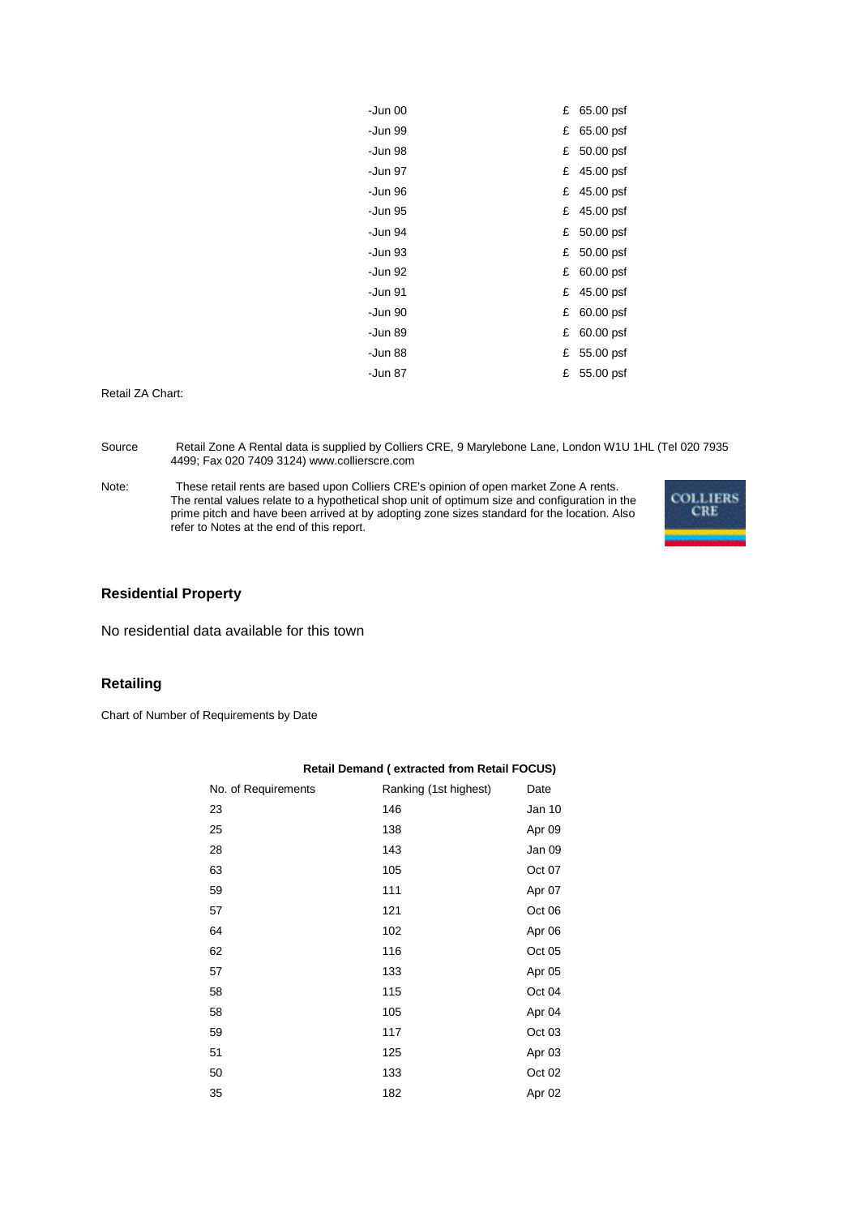| -Jun 00 |   | £ 65.00 psf |
|---------|---|-------------|
| -Jun 99 | £ | 65.00 psf   |
| -Jun 98 |   | £ 50.00 psf |
| -Jun 97 | £ | 45.00 psf   |
| -Jun 96 |   | £ 45.00 psf |
| -Jun 95 |   | £ 45.00 psf |
| -Jun 94 | £ | 50.00 psf   |
| -Jun 93 |   | £ 50.00 psf |
| -Jun 92 | £ | 60.00 psf   |
| -Jun 91 | £ | 45.00 psf   |
| -Jun 90 | £ | 60.00 psf   |
| -Jun 89 | £ | 60.00 psf   |
| -Jun 88 | £ | 55.00 psf   |
| -Jun 87 | £ | 55.00 psf   |

Retail ZA Chart:

Source Retail Zone A Rental data is supplied by Colliers CRE, 9 Marylebone Lane, London W1U 1HL (Tel 020 7935 4499; Fax 020 7409 3124) www.collierscre.com

Note: These retail rents are based upon Colliers CRE's opinion of open market Zone A rents. The rental values relate to a hypothetical shop unit of optimum size and configuration in the prime pitch and have been arrived at by adopting zone sizes standard for the location. Also refer to Notes at the end of this report.



#### **Residential Property**

No residential data available for this town

## **Retailing**

Chart of Number of Requirements by Date

|                     | ----- ---- -- -- ---- - -- ---- - - |        |
|---------------------|-------------------------------------|--------|
| No. of Requirements | Ranking (1st highest)               | Date   |
| 23                  | 146                                 | Jan 10 |
| 25                  | 138                                 | Apr 09 |
| 28                  | 143                                 | Jan 09 |
| 63                  | 105                                 | Oct 07 |
| 59                  | 111                                 | Apr 07 |
| 57                  | 121                                 | Oct 06 |
| 64                  | 102                                 | Apr 06 |
| 62                  | 116                                 | Oct 05 |
| 57                  | 133                                 | Apr 05 |
| 58                  | 115                                 | Oct 04 |
| 58                  | 105                                 | Apr 04 |
| 59                  | 117                                 | Oct 03 |
| 51                  | 125                                 | Apr 03 |
| 50                  | 133                                 | Oct 02 |
| 35                  | 182                                 | Apr 02 |

#### **Retail Demand ( extracted from Retail FOCUS)**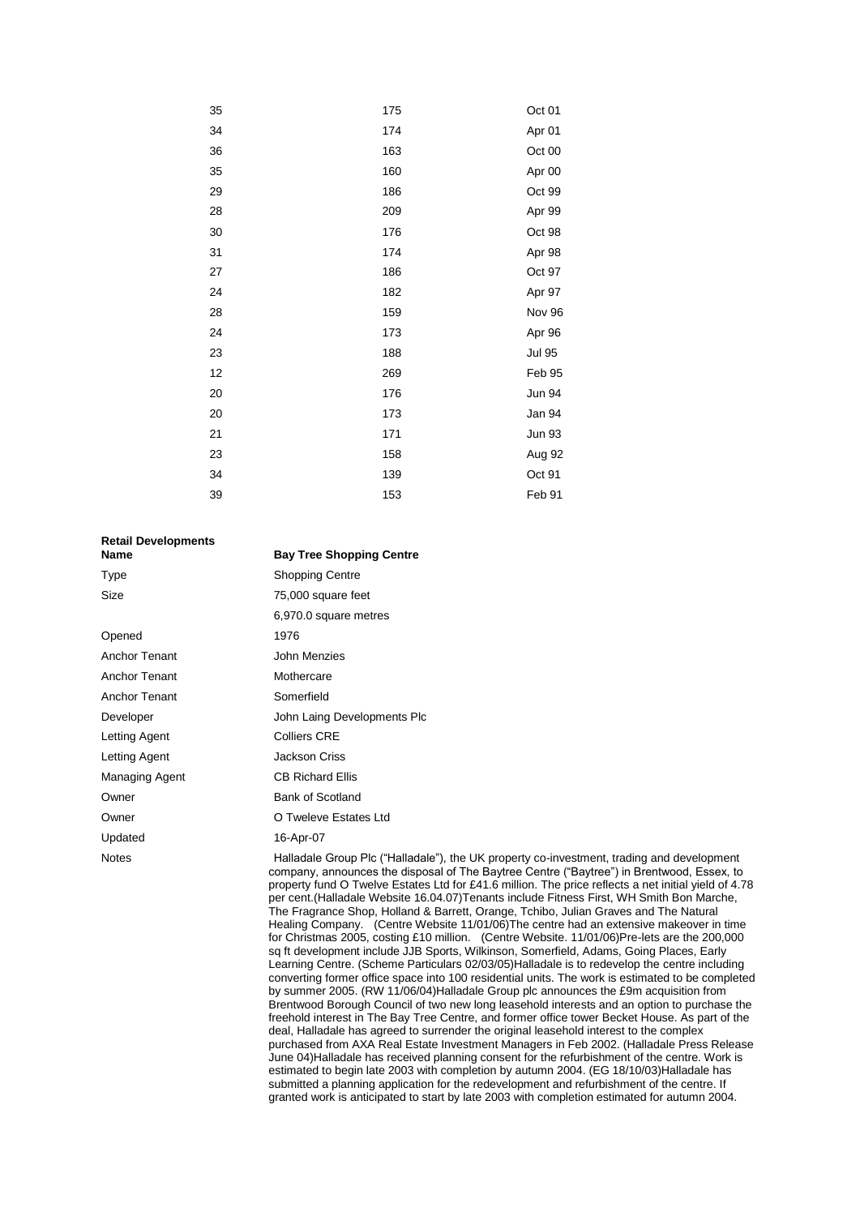| 35 | 175 | Oct 01        |
|----|-----|---------------|
| 34 | 174 | Apr 01        |
| 36 | 163 | Oct 00        |
| 35 | 160 | Apr 00        |
| 29 | 186 | Oct 99        |
| 28 | 209 | Apr 99        |
| 30 | 176 | Oct 98        |
| 31 | 174 | Apr 98        |
| 27 | 186 | Oct 97        |
| 24 | 182 | Apr 97        |
| 28 | 159 | Nov 96        |
| 24 | 173 | Apr 96        |
| 23 | 188 | <b>Jul 95</b> |
| 12 | 269 | Feb 95        |
| 20 | 176 | <b>Jun 94</b> |
| 20 | 173 | Jan 94        |
| 21 | 171 | <b>Jun 93</b> |
| 23 | 158 | Aug 92        |
| 34 | 139 | Oct 91        |
| 39 | 153 | Feb 91        |

| <b>Retail Developments</b><br>Name | <b>Bay Tree Shopping Centre</b>                                                                                                                                                                                                                                                                                                                                                                                                                                                     |
|------------------------------------|-------------------------------------------------------------------------------------------------------------------------------------------------------------------------------------------------------------------------------------------------------------------------------------------------------------------------------------------------------------------------------------------------------------------------------------------------------------------------------------|
| Type                               | <b>Shopping Centre</b>                                                                                                                                                                                                                                                                                                                                                                                                                                                              |
| Size                               | 75,000 square feet                                                                                                                                                                                                                                                                                                                                                                                                                                                                  |
|                                    | 6,970.0 square metres                                                                                                                                                                                                                                                                                                                                                                                                                                                               |
| Opened                             | 1976                                                                                                                                                                                                                                                                                                                                                                                                                                                                                |
| <b>Anchor Tenant</b>               | John Menzies                                                                                                                                                                                                                                                                                                                                                                                                                                                                        |
| <b>Anchor Tenant</b>               | Mothercare                                                                                                                                                                                                                                                                                                                                                                                                                                                                          |
| <b>Anchor Tenant</b>               | Somerfield                                                                                                                                                                                                                                                                                                                                                                                                                                                                          |
| Developer                          | John Laing Developments Plc                                                                                                                                                                                                                                                                                                                                                                                                                                                         |
| Letting Agent                      | <b>Colliers CRE</b>                                                                                                                                                                                                                                                                                                                                                                                                                                                                 |
| Letting Agent                      | <b>Jackson Criss</b>                                                                                                                                                                                                                                                                                                                                                                                                                                                                |
| Managing Agent                     | <b>CB Richard Ellis</b>                                                                                                                                                                                                                                                                                                                                                                                                                                                             |
| Owner                              | <b>Bank of Scotland</b>                                                                                                                                                                                                                                                                                                                                                                                                                                                             |
| Owner                              | O Tweleve Estates Ltd                                                                                                                                                                                                                                                                                                                                                                                                                                                               |
| Updated                            | 16-Apr-07                                                                                                                                                                                                                                                                                                                                                                                                                                                                           |
| <b>Notes</b>                       | Halladale Group Plc ("Halladale"), the UK property co-investment, trading and development<br>company, announces the disposal of The Baytree Centre ("Baytree") in Brentwood, Essex, to<br>property fund O Twelve Estates Ltd for £41.6 million. The price reflects a net initial yield of 4.7<br>per cent. (Halladale Website 16.04.07) Tenants include Fitness First, WH Smith Bon Marche,<br>The Fragrance Shop, Holland & Barrett, Orange, Tchibo, Julian Crayes and The Natural |

property fund O Twelve Estates Ltd for £41.6 million. The price reflects a net initial yield of 4.78 per cent.(Halladale Website 16.04.07)Tenants include Fitness First, WH Smith Bon Marche, ragrance Shop, Holland & Barrett, Orange, Tchibo, Julian Graves and The Natural Healing Company. (Centre Website 11/01/06)The centre had an extensive makeover in time for Christmas 2005, costing £10 million. (Centre Website. 11/01/06)Pre-lets are the 200,000 sq ft development include JJB Sports, Wilkinson, Somerfield, Adams, Going Places, Early Learning Centre. (Scheme Particulars 02/03/05)Halladale is to redevelop the centre including converting former office space into 100 residential units. The work is estimated to be completed by summer 2005. (RW 11/06/04)Halladale Group plc announces the £9m acquisition from Brentwood Borough Council of two new long leasehold interests and an option to purchase the freehold interest in The Bay Tree Centre, and former office tower Becket House. As part of the deal, Halladale has agreed to surrender the original leasehold interest to the complex purchased from AXA Real Estate Investment Managers in Feb 2002. (Halladale Press Release June 04)Halladale has received planning consent for the refurbishment of the centre. Work is estimated to begin late 2003 with completion by autumn 2004. (EG 18/10/03) Halladale has submitted a planning application for the redevelopment and refurbishment of the centre. If granted work is anticipated to start by late 2003 with completion estimated for autumn 2004.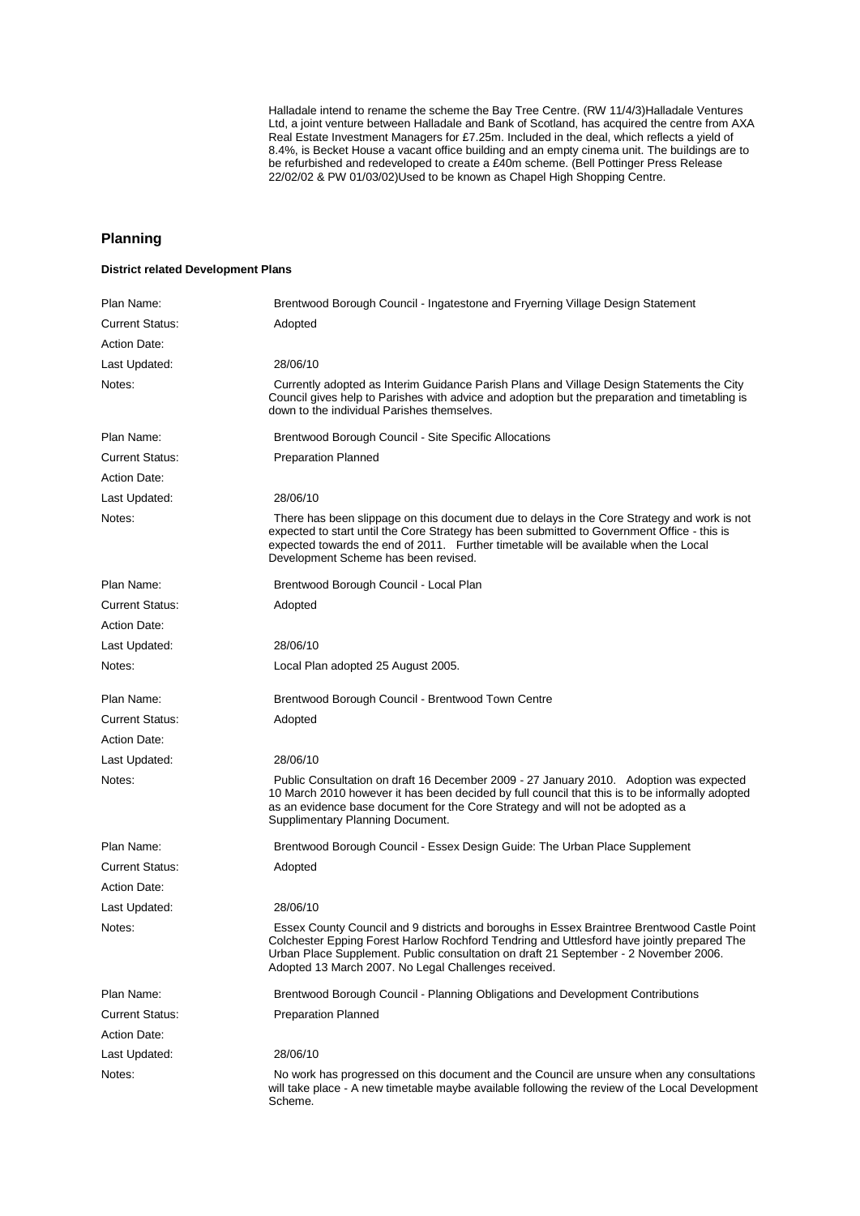Halladale intend to rename the scheme the Bay Tree Centre. (RW 11/4/3) Halladale Ventures Ltd, a joint venture between Halladale and Bank of Scotland, has acquired the centre from AXA Real Estate Investment Managers for £7.25m. Included in the deal, which reflects a yield of 8.4%, is Becket House a vacant office building and an empty cinema unit. The buildings are to be refurbished and redeveloped to create a £40m scheme. (Bell Pottinger Press Release 22/02/02 & PW 01/03/02)Used to be known as Chapel High Shopping Centre.

## **Planning**

#### **District related Development Plans**

| Plan Name:             | Brentwood Borough Council - Ingatestone and Fryerning Village Design Statement                                                                                                                                                                                                                                                            |
|------------------------|-------------------------------------------------------------------------------------------------------------------------------------------------------------------------------------------------------------------------------------------------------------------------------------------------------------------------------------------|
| <b>Current Status:</b> | Adopted                                                                                                                                                                                                                                                                                                                                   |
| <b>Action Date:</b>    |                                                                                                                                                                                                                                                                                                                                           |
| Last Updated:          | 28/06/10                                                                                                                                                                                                                                                                                                                                  |
| Notes:                 | Currently adopted as Interim Guidance Parish Plans and Village Design Statements the City<br>Council gives help to Parishes with advice and adoption but the preparation and timetabling is<br>down to the individual Parishes themselves.                                                                                                |
| Plan Name:             | Brentwood Borough Council - Site Specific Allocations                                                                                                                                                                                                                                                                                     |
| <b>Current Status:</b> | <b>Preparation Planned</b>                                                                                                                                                                                                                                                                                                                |
| <b>Action Date:</b>    |                                                                                                                                                                                                                                                                                                                                           |
| Last Updated:          | 28/06/10                                                                                                                                                                                                                                                                                                                                  |
| Notes:                 | There has been slippage on this document due to delays in the Core Strategy and work is not<br>expected to start until the Core Strategy has been submitted to Government Office - this is<br>expected towards the end of 2011. Further timetable will be available when the Local<br>Development Scheme has been revised.                |
| Plan Name:             | Brentwood Borough Council - Local Plan                                                                                                                                                                                                                                                                                                    |
| <b>Current Status:</b> | Adopted                                                                                                                                                                                                                                                                                                                                   |
| <b>Action Date:</b>    |                                                                                                                                                                                                                                                                                                                                           |
| Last Updated:          | 28/06/10                                                                                                                                                                                                                                                                                                                                  |
| Notes:                 | Local Plan adopted 25 August 2005.                                                                                                                                                                                                                                                                                                        |
| Plan Name:             | Brentwood Borough Council - Brentwood Town Centre                                                                                                                                                                                                                                                                                         |
| <b>Current Status:</b> | Adopted                                                                                                                                                                                                                                                                                                                                   |
| <b>Action Date:</b>    |                                                                                                                                                                                                                                                                                                                                           |
| Last Updated:          | 28/06/10                                                                                                                                                                                                                                                                                                                                  |
| Notes:                 | Public Consultation on draft 16 December 2009 - 27 January 2010. Adoption was expected<br>10 March 2010 however it has been decided by full council that this is to be informally adopted<br>as an evidence base document for the Core Strategy and will not be adopted as a<br>Supplimentary Planning Document.                          |
| Plan Name:             | Brentwood Borough Council - Essex Design Guide: The Urban Place Supplement                                                                                                                                                                                                                                                                |
| <b>Current Status:</b> | Adopted                                                                                                                                                                                                                                                                                                                                   |
| <b>Action Date:</b>    |                                                                                                                                                                                                                                                                                                                                           |
| Last Updated:          | 28/06/10                                                                                                                                                                                                                                                                                                                                  |
| Notes:                 | Essex County Council and 9 districts and boroughs in Essex Braintree Brentwood Castle Point<br>Colchester Epping Forest Harlow Rochford Tendring and Uttlesford have jointly prepared The<br>Urban Place Supplement. Public consultation on draft 21 September - 2 November 2006.<br>Adopted 13 March 2007. No Legal Challenges received. |
| Plan Name:             | Brentwood Borough Council - Planning Obligations and Development Contributions                                                                                                                                                                                                                                                            |
| <b>Current Status:</b> | <b>Preparation Planned</b>                                                                                                                                                                                                                                                                                                                |
| <b>Action Date:</b>    |                                                                                                                                                                                                                                                                                                                                           |
| Last Updated:          | 28/06/10                                                                                                                                                                                                                                                                                                                                  |
| Notes:                 | No work has progressed on this document and the Council are unsure when any consultations<br>will take place - A new timetable maybe available following the review of the Local Development<br>Scheme.                                                                                                                                   |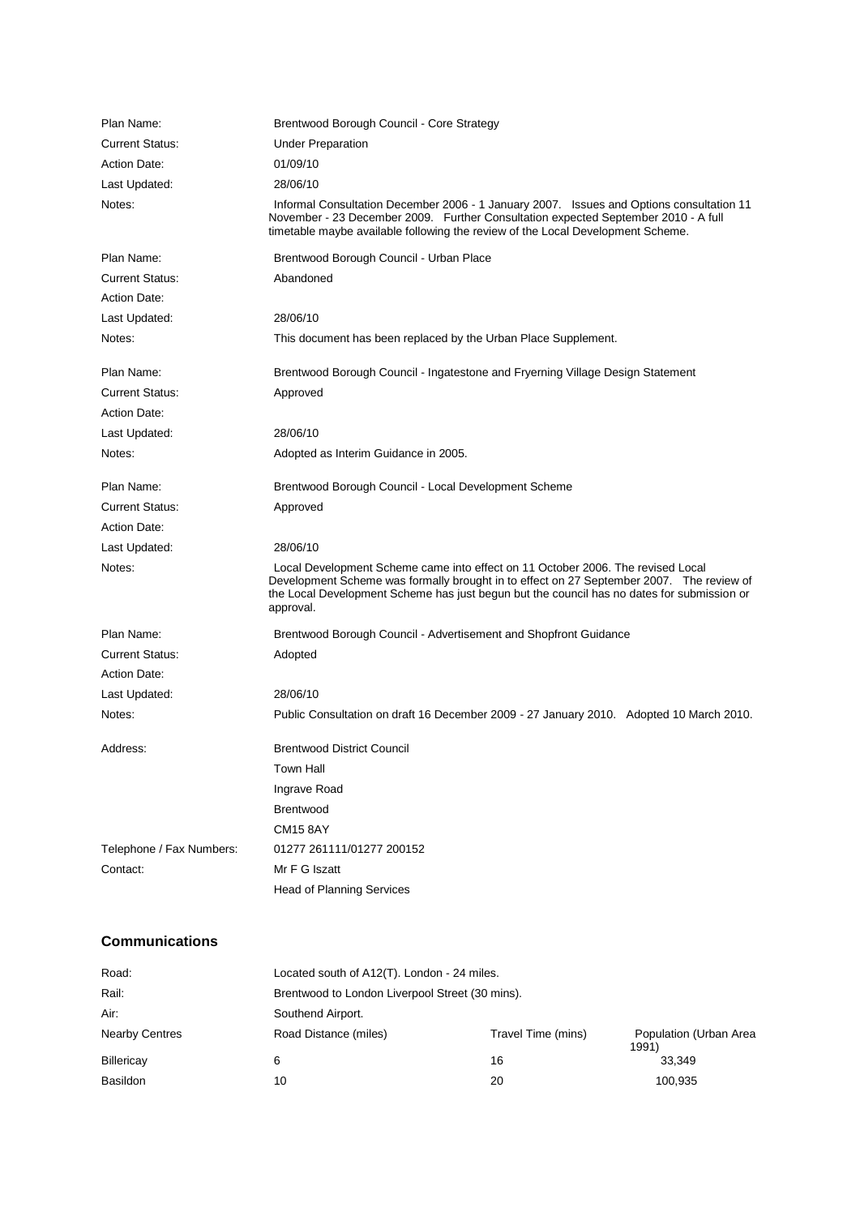| Plan Name:               | Brentwood Borough Council - Core Strategy                                                                                                                                                                                                                                               |
|--------------------------|-----------------------------------------------------------------------------------------------------------------------------------------------------------------------------------------------------------------------------------------------------------------------------------------|
| <b>Current Status:</b>   | <b>Under Preparation</b>                                                                                                                                                                                                                                                                |
| <b>Action Date:</b>      | 01/09/10                                                                                                                                                                                                                                                                                |
| Last Updated:            | 28/06/10                                                                                                                                                                                                                                                                                |
| Notes:                   | Informal Consultation December 2006 - 1 January 2007. Issues and Options consultation 11<br>November - 23 December 2009. Further Consultation expected September 2010 - A full<br>timetable maybe available following the review of the Local Development Scheme.                       |
| Plan Name:               | Brentwood Borough Council - Urban Place                                                                                                                                                                                                                                                 |
| <b>Current Status:</b>   | Abandoned                                                                                                                                                                                                                                                                               |
| Action Date:             |                                                                                                                                                                                                                                                                                         |
| Last Updated:            | 28/06/10                                                                                                                                                                                                                                                                                |
| Notes:                   | This document has been replaced by the Urban Place Supplement.                                                                                                                                                                                                                          |
| Plan Name:               | Brentwood Borough Council - Ingatestone and Fryerning Village Design Statement                                                                                                                                                                                                          |
| <b>Current Status:</b>   | Approved                                                                                                                                                                                                                                                                                |
| <b>Action Date:</b>      |                                                                                                                                                                                                                                                                                         |
| Last Updated:            | 28/06/10                                                                                                                                                                                                                                                                                |
| Notes:                   | Adopted as Interim Guidance in 2005.                                                                                                                                                                                                                                                    |
| Plan Name:               | Brentwood Borough Council - Local Development Scheme                                                                                                                                                                                                                                    |
| <b>Current Status:</b>   | Approved                                                                                                                                                                                                                                                                                |
| <b>Action Date:</b>      |                                                                                                                                                                                                                                                                                         |
| Last Updated:            | 28/06/10                                                                                                                                                                                                                                                                                |
| Notes:                   | Local Development Scheme came into effect on 11 October 2006. The revised Local<br>Development Scheme was formally brought in to effect on 27 September 2007.  The review of<br>the Local Development Scheme has just begun but the council has no dates for submission or<br>approval. |
| Plan Name:               | Brentwood Borough Council - Advertisement and Shopfront Guidance                                                                                                                                                                                                                        |
| <b>Current Status:</b>   | Adopted                                                                                                                                                                                                                                                                                 |
| <b>Action Date:</b>      |                                                                                                                                                                                                                                                                                         |
| Last Updated:            | 28/06/10                                                                                                                                                                                                                                                                                |
| Notes:                   | Public Consultation on draft 16 December 2009 - 27 January 2010. Adopted 10 March 2010.                                                                                                                                                                                                 |
| Address:                 | <b>Brentwood District Council</b>                                                                                                                                                                                                                                                       |
|                          | <b>Town Hall</b>                                                                                                                                                                                                                                                                        |
|                          | Ingrave Road                                                                                                                                                                                                                                                                            |
|                          | Brentwood                                                                                                                                                                                                                                                                               |
|                          | <b>CM15 8AY</b>                                                                                                                                                                                                                                                                         |
| Telephone / Fax Numbers: | 01277 261111/01277 200152                                                                                                                                                                                                                                                               |
| Contact:                 | Mr F G Iszatt                                                                                                                                                                                                                                                                           |
|                          | <b>Head of Planning Services</b>                                                                                                                                                                                                                                                        |

## **Communications**

| Road:                 | Located south of A12(T). London - 24 miles.     |                    |                                 |
|-----------------------|-------------------------------------------------|--------------------|---------------------------------|
| Rail:                 | Brentwood to London Liverpool Street (30 mins). |                    |                                 |
| Air:                  | Southend Airport.                               |                    |                                 |
| <b>Nearby Centres</b> | Road Distance (miles)                           | Travel Time (mins) | Population (Urban Area<br>1991) |
| Billericay            | 6                                               | 16                 | 33.349                          |
| <b>Basildon</b>       | 10                                              | 20                 | 100,935                         |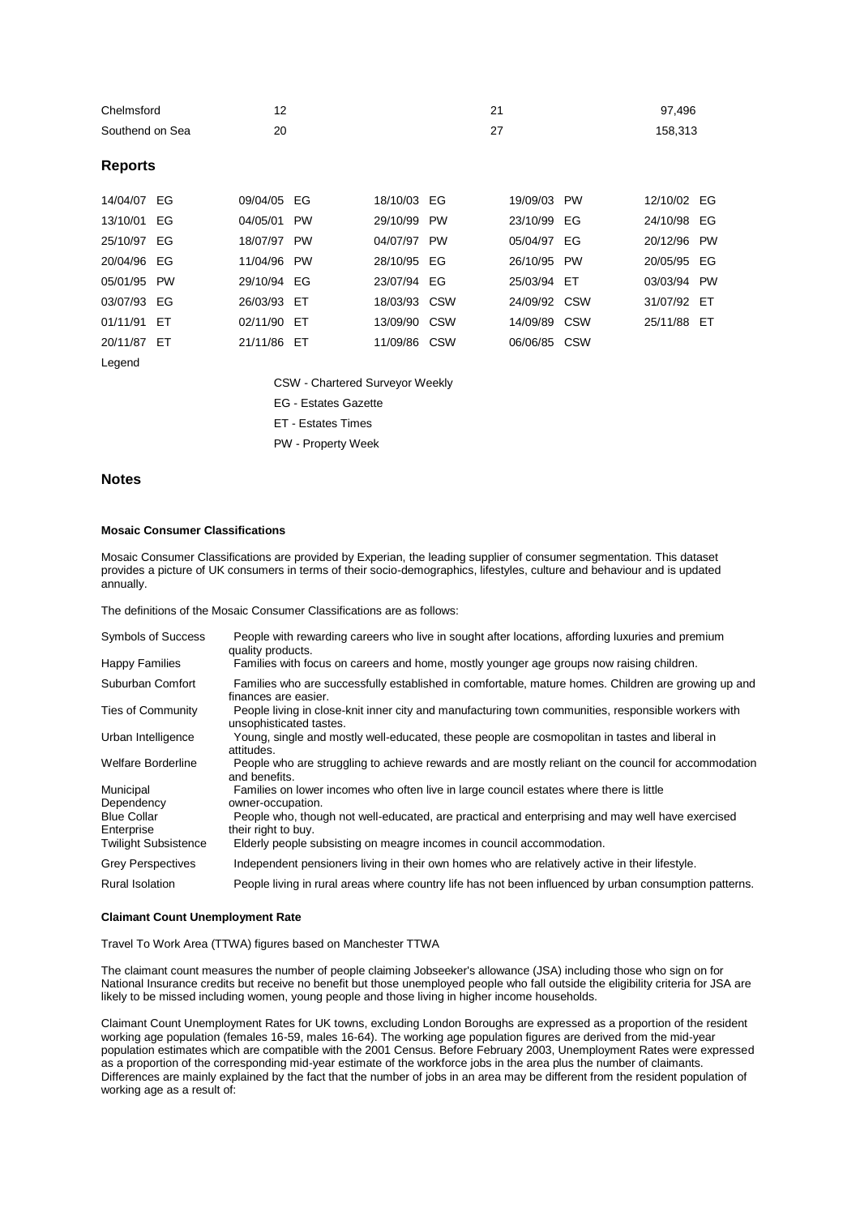| Chelmsford      | c  | 97.496  |
|-----------------|----|---------|
| Southend on Sea | 20 | 158.313 |

#### **Reports**

| 14/04/07 EG | 09/04/05 EG | 18/10/03 EG  |           | 19/09/03 PW  | 12/10/02 EG |  |
|-------------|-------------|--------------|-----------|--------------|-------------|--|
| 13/10/01 EG | 04/05/01 PW | 29/10/99     | <b>PW</b> | 23/10/99 EG  | 24/10/98 EG |  |
| 25/10/97 EG | 18/07/97 PW | 04/07/97 PW  |           | 05/04/97 EG  | 20/12/96 PW |  |
| 20/04/96 EG | 11/04/96 PW | 28/10/95 EG  |           | 26/10/95 PW  | 20/05/95 EG |  |
| 05/01/95 PW | 29/10/94 EG | 23/07/94 EG  |           | 25/03/94 ET  | 03/03/94 PW |  |
| 03/07/93 EG | 26/03/93 ET | 18/03/93 CSW |           | 24/09/92 CSW | 31/07/92 ET |  |
| 01/11/91 ET | 02/11/90 ET | 13/09/90 CSW |           | 14/09/89 CSW | 25/11/88 ET |  |
| 20/11/87 ET | 21/11/86 ET | 11/09/86 CSW |           | 06/06/85 CSW |             |  |
| Legend      |             |              |           |              |             |  |

CSW - Chartered Surveyor Weekly

EG - Estates Gazette

ET - Estates Times

PW - Property Week

#### **Notes**

#### **Mosaic Consumer Classifications**

Mosaic Consumer Classifications are provided by Experian, the leading supplier of consumer segmentation. This dataset provides a picture of UK consumers in terms of their socio-demographics, lifestyles, culture and behaviour and is updated annually.

The definitions of the Mosaic Consumer Classifications are as follows:

| <b>Symbols of Success</b>        | People with rewarding careers who live in sought after locations, affording luxuries and premium<br>quality products.          |
|----------------------------------|--------------------------------------------------------------------------------------------------------------------------------|
| <b>Happy Families</b>            | Families with focus on careers and home, mostly younger age groups now raising children.                                       |
| Suburban Comfort                 | Families who are successfully established in comfortable, mature homes. Children are growing up and<br>finances are easier.    |
| <b>Ties of Community</b>         | People living in close-knit inner city and manufacturing town communities, responsible workers with<br>unsophisticated tastes. |
| Urban Intelligence               | Young, single and mostly well-educated, these people are cosmopolitan in tastes and liberal in<br>attitudes.                   |
| <b>Welfare Borderline</b>        | People who are struggling to achieve rewards and are mostly reliant on the council for accommodation<br>and benefits.          |
| Municipal<br>Dependency          | Families on lower incomes who often live in large council estates where there is little<br>owner-occupation.                   |
| <b>Blue Collar</b><br>Enterprise | People who, though not well-educated, are practical and enterprising and may well have exercised<br>their right to buy.        |
| <b>Twilight Subsistence</b>      | Elderly people subsisting on meagre incomes in council accommodation.                                                          |
| <b>Grey Perspectives</b>         | Independent pensioners living in their own homes who are relatively active in their lifestyle.                                 |
| <b>Rural Isolation</b>           | People living in rural areas where country life has not been influenced by urban consumption patterns.                         |

#### **Claimant Count Unemployment Rate**

Travel To Work Area (TTWA) figures based on Manchester TTWA

The claimant count measures the number of people claiming Jobseeker's allowance (JSA) including those who sign on for National Insurance credits but receive no benefit but those unemployed people who fall outside the eligibility criteria for JSA are likely to be missed including women, young people and those living in higher income households.

Claimant Count Unemployment Rates for UK towns, excluding London Boroughs are expressed as a proportion of the resident working age population (females 16-59, males 16-64). The working age population figures are derived from the mid-year population estimates which are compatible with the 2001 Census. Before February 2003, Unemployment Rates were expressed as a proportion of the corresponding mid-year estimate of the workforce jobs in the area plus the number of claimants. Differences are mainly explained by the fact that the number of jobs in an area may be different from the resident population of working age as a result of: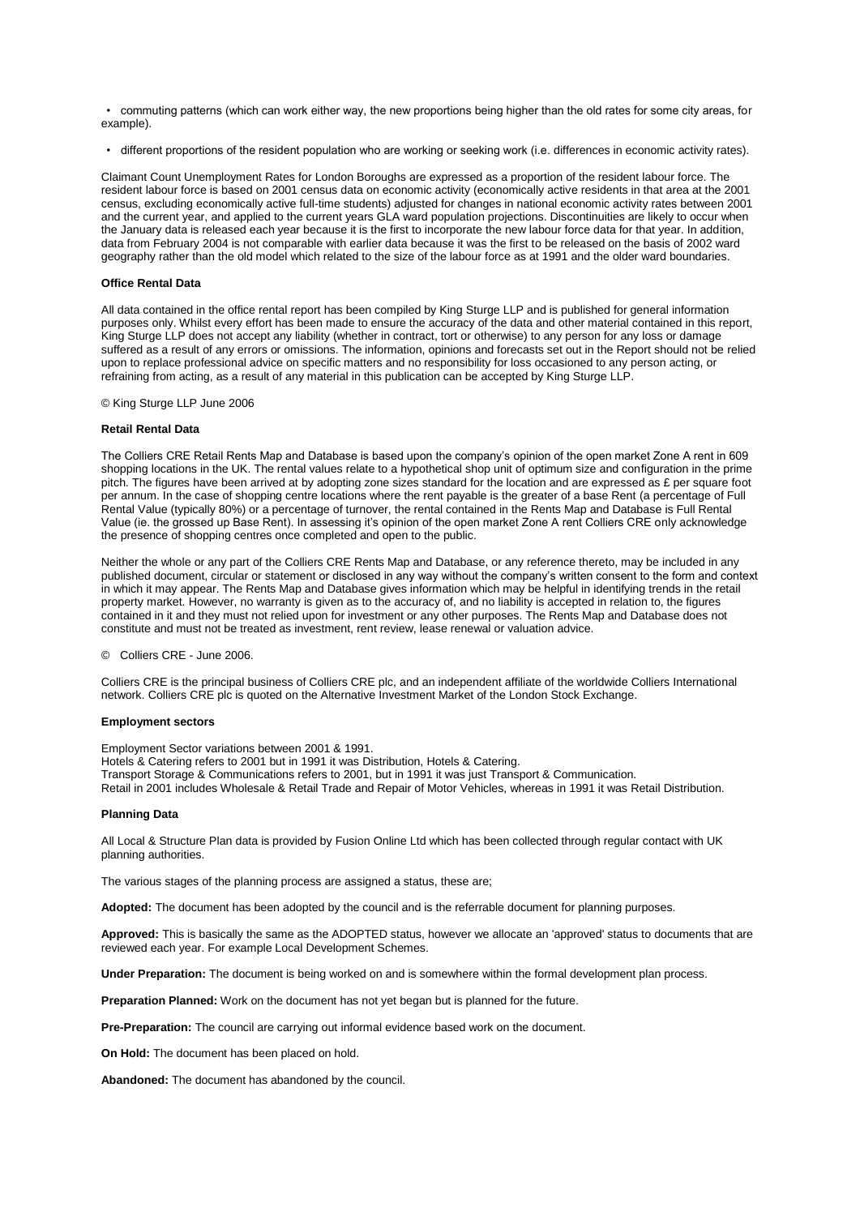• commuting patterns (which can work either way, the new proportions being higher than the old rates for some city areas, for example).

• different proportions of the resident population who are working or seeking work (i.e. differences in economic activity rates).

Claimant Count Unemployment Rates for London Boroughs are expressed as a proportion of the resident labour force. The resident labour force is based on 2001 census data on economic activity (economically active residents in that area at the 2001 census, excluding economically active full-time students) adjusted for changes in national economic activity rates between 2001 and the current year, and applied to the current years GLA ward population projections. Discontinuities are likely to occur when the January data is released each year because it is the first to incorporate the new labour force data for that year. In addition, data from February 2004 is not comparable with earlier data because it was the first to be released on the basis of 2002 ward geography rather than the old model which related to the size of the labour force as at 1991 and the older ward boundaries.

#### **Office Rental Data**

All data contained in the office rental report has been compiled by King Sturge LLP and is published for general information purposes only. Whilst every effort has been made to ensure the accuracy of the data and other material contained in this report, King Sturge LLP does not accept any liability (whether in contract, tort or otherwise) to any person for any loss or damage suffered as a result of any errors or omissions. The information, opinions and forecasts set out in the Report should not be relied upon to replace professional advice on specific matters and no responsibility for loss occasioned to any person acting, or refraining from acting, as a result of any material in this publication can be accepted by King Sturge LLP.

© King Sturge LLP June 2006

#### **Retail Rental Data**

The Colliers CRE Retail Rents Map and Database is based upon the company's opinion of the open market Zone A rent in 609 shopping locations in the UK. The rental values relate to a hypothetical shop unit of optimum size and configuration in the prime pitch. The figures have been arrived at by adopting zone sizes standard for the location and are expressed as £ per square foot per annum. In the case of shopping centre locations where the rent payable is the greater of a base Rent (a percentage of Full Rental Value (typically 80%) or a percentage of turnover, the rental contained in the Rents Map and Database is Full Rental Value (ie. the grossed up Base Rent). In assessing it's opinion of the open market Zone A rent Colliers CRE only acknowledge the presence of shopping centres once completed and open to the public.

Neither the whole or any part of the Colliers CRE Rents Map and Database, or any reference thereto, may be included in any published document, circular or statement or disclosed in any way without the company's written consent to the form and context in which it may appear. The Rents Map and Database gives information which may be helpful in identifying trends in the retail property market. However, no warranty is given as to the accuracy of, and no liability is accepted in relation to, the figures contained in it and they must not relied upon for investment or any other purposes. The Rents Map and Database does not constitute and must not be treated as investment, rent review, lease renewal or valuation advice.

© Colliers CRE - June 2006.

Colliers CRE is the principal business of Colliers CRE plc, and an independent affiliate of the worldwide Colliers International network. Colliers CRE plc is quoted on the Alternative Investment Market of the London Stock Exchange.

#### **Employment sectors**

Employment Sector variations between 2001 & 1991.

Hotels & Catering refers to 2001 but in 1991 it was Distribution, Hotels & Catering.

Transport Storage & Communications refers to 2001, but in 1991 it was just Transport & Communication.

Retail in 2001 includes Wholesale & Retail Trade and Repair of Motor Vehicles, whereas in 1991 it was Retail Distribution.

#### **Planning Data**

All Local & Structure Plan data is provided by Fusion Online Ltd which has been collected through regular contact with UK planning authorities.

The various stages of the planning process are assigned a status, these are;

**Adopted:** The document has been adopted by the council and is the referrable document for planning purposes.

**Approved:** This is basically the same as the ADOPTED status, however we allocate an 'approved' status to documents that are reviewed each year. For example Local Development Schemes.

**Under Preparation:** The document is being worked on and is somewhere within the formal development plan process.

**Preparation Planned:** Work on the document has not yet began but is planned for the future.

**Pre-Preparation:** The council are carrying out informal evidence based work on the document.

**On Hold:** The document has been placed on hold.

**Abandoned:** The document has abandoned by the council.